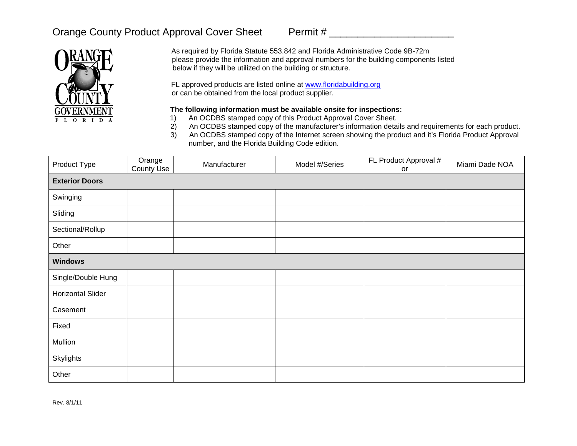## Orange County Product Approval Cover Sheet Permit #



As required by Florida Statute 553.842 and Florida Administrative Code 9B-72m please provide the information and approval numbers for the building components listed below if they will be utilized on the building or structure.

FL approved products are listed online at [www.floridabuilding.org](http://www.floridabuilding.org/) or can be obtained from the local product supplier.

## **The following information must be available onsite for inspections:**

- 1) An OCDBS stamped copy of this Product Approval Cover Sheet.<br>2) An OCDBS stamped copy of the manufacturer's information deta
- 2) An OCDBS stamped copy of the manufacturer's information details and requirements for each product.
- 3) An OCDBS stamped copy of the Internet screen showing the product and it's Florida Product Approval number, and the Florida Building Code edition.

| Product Type             | Orange<br>County Use | Manufacturer | Model #/Series | FL Product Approval #<br>or | Miami Dade NOA |  |  |
|--------------------------|----------------------|--------------|----------------|-----------------------------|----------------|--|--|
| <b>Exterior Doors</b>    |                      |              |                |                             |                |  |  |
| Swinging                 |                      |              |                |                             |                |  |  |
| Sliding                  |                      |              |                |                             |                |  |  |
| Sectional/Rollup         |                      |              |                |                             |                |  |  |
| Other                    |                      |              |                |                             |                |  |  |
| <b>Windows</b>           |                      |              |                |                             |                |  |  |
| Single/Double Hung       |                      |              |                |                             |                |  |  |
| <b>Horizontal Slider</b> |                      |              |                |                             |                |  |  |
| Casement                 |                      |              |                |                             |                |  |  |
| Fixed                    |                      |              |                |                             |                |  |  |
| Mullion                  |                      |              |                |                             |                |  |  |
| Skylights                |                      |              |                |                             |                |  |  |
| Other                    |                      |              |                |                             |                |  |  |